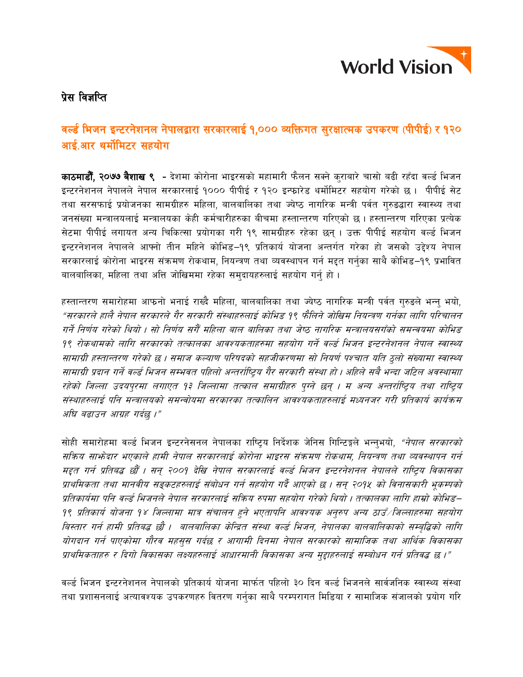

## प्रेस विज्ञप्ति

# वर्ल्ड भिजन इन्टरनेशनल नेपालद्वारा सरकारलाई १,००० व्यक्तिगत सुरक्षात्मक उपकरण (पीपीई) र १२० आई.आर थर्मोमिटर सहयोग

**काठमाडौँ, २०७७ बैशाख ९ -** देशमा कोरोना भाइरसको महामारी फैलन सक्ने कराबारे चासो बढी रहँदा वर्ल्ड भिजन इन्टरनेशनल नेपालले नेपाल सरकारलाई १००० पीपीई र १२० इन्फारेड थर्मोमिटर सहयोग गरेको छ। पीपीई सेट तथा सरसफाई प्रयोजनका सामग्रीहरु महिला, बालबालिका तथा ज्येष्ठ नागरिक मन्त्री पर्वत गुरुङद्धारा स्वास्थ्य तथा जनसंख्या मन्त्रालयलाई मन्त्रालयका केही कर्मचारीहरुका बीचमा हस्तान्तरण गरिएको छ । हस्तान्तरण गरिएका प्रत्येक सेटमा पीपीई लगायत अन्य चिकित्सा प्रयोगका गरी १९ सामग्रीहरु रहेका छन । उक्त पीपीई सहयोग वर्ल्ड भिजन इन्टरनेशनल नेपालले आफ्नो तीन महिने कोभिड़-१९ प्रतिकार्य योजना अन्तर्गत गरेका हो जसको उद्देश्य नेपाल सरकारलाई कोरोना भाइरस संक्रमण रोकथाम, नियन्त्रण तथा व्यवस्थापन गर्न मद्दत गर्नुका साथै कोभिड–१९ प्रभावित बालबालिका, महिला तथा अत्ति जोखिममा रहेका समुदायहरुलाई सहयोग गर्न् हो।

हस्तान्तरण समारोहमा आफनो भनाई राख्दै महिला, बालबालिका तथा ज्येष्ठ नागरिक मन्त्री पर्वत गुरुडले भन्नु भयो, "सरकारले हालै नेपाल सरकारले गैर सरकारी संस्थाहरुलाई कोभिड़ १९ फैलिने जोखिम नियन्त्रण गर्नका लागि परिचालन गर्ने निर्णय गरेको थियो । सो निर्णय सगैँ महिला बाल बालिका तथा जेष्ठ नागरिक मन्त्रालयसगँको समन्वयमा कोभिड 9९ रोकथामको लागि सरकारको तत्कालका आवश्यकताहरुमा सहयोग गर्ने वर्ल्ड भिजन इन्टरनेशनल नेपाल स्वास्थ्य सामाग्री हस्तान्तरण गरेको छ । समाज कल्याण परिषदको सहजीकरणमा सो नियर्ण पश्चात यति ठलो संख्यामा स्वास्थ्य सामाग्री प्रदान गर्ने वर्ल्ड भिजन सम्भवत पहिलो अन्तर्राष्ट्रिय गैर सरकारी संस्था हो । अहिले सबै भन्दा जटिल अवस्थामाा रहेको जिल्ला उदयपुरमा लगाएत १३ जिल्लामा तत्काल समाग्रीहरु पुग्ने छन् । म अन्य अन्तर्राष्ट्रिय तथा राष्ट्रिय संस्थाहरुलाई पनि मन्त्रालयको समन्वोयमा सरकारका तत्कालिन आवश्यकताहरुलाई मध्यनजर गरी प्रतिकार्य कार्यक्रम अघि बढाउन आग्रह गर्दछ।"

सोही समारोहमा वर्ल्ड भिजन इन्टरनेसनल नेपालका राष्ट्रिय निर्देशक जेनिस गिन्टिङ्गले भन्न्भयो, *"नेपाल सरकारको* सक्रिय साभ्रेदार भएकाले हामी नेपाल सरकारलाई कोरोना भाइरस संक्रमण रोकथाम, नियन्त्रण तथा व्यवस्थापन गर्न मद्दत गर्न प्रतिबद्ध छौँ । सन् २००१ देखि नेपाल सरकारलाई वर्ल्ड भिजन इन्टरनेशनल नेपालले राष्टिय विकासका प्राथमिकता तथा मानवीय सङ्कटहरुलाई संबोधन गर्न सहयोग गर्दै आएको छ । सन् २०१५ को विनासकारी भुकम्पको प्रतिकार्यमा पनि वर्ल्ड भिजनले नेपाल सरकारलाई सक्रिय रुपमा सहयोग गरेको थियो । तत्कालका लागि हाम्रो कोभिड– 9९ प्रतिकार्य योजना 9४ जिल्लामा मात्र संचालन हुने भएतापनि आवश्यक अनुरुप अन्य ठाउँ/जिल्लाहरुमा सहयोग विस्तार गर्न हामी प्रतिबद्ध छौ । बालबालिका केन्द्रित संस्था वर्ल्ड भिजन, नेपालका बालबालिकाको सम्बद्धिको लागि योगदान गर्न पाएकोमा गौरव महसस गर्दछ र आगामी दिनमा नेपाल सरकारको सामाजिक तथा आर्थिक विकासका प्राथमिकताहरु र दिगो विकासका लक्ष्यहरुलाई आधारमानी विकासका अन्य मुद्दाहरुलाई सम्बोधन गर्न प्रतिवद्ध छ ।"

वर्ल्ड भिजन इन्टरनेशनल नेपालको प्रतिकार्य योजना मार्फत पहिलो ३० दिन वर्ल्ड भिजनले सार्वजनिक स्वास्थ्य संस्था तथा प्रशासनलाई अत्यावश्यक उपकरणहरु वितरण गर्नुका साथै परम्परागत मिडिया र सामाजिक संजालको प्रयोग गरि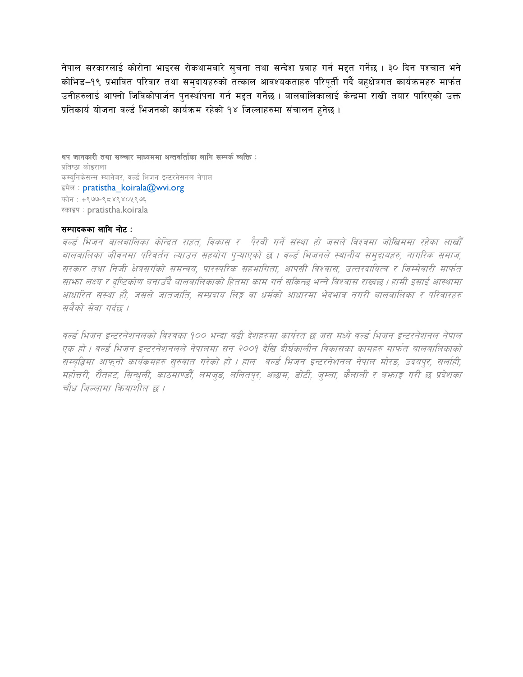नेपाल सरकारलाई कोरोना भाइरस रोकथामबारे सचना तथा सन्देश प्रवाह गर्न मद्दत गर्नेछ । ३० दिन पश्चात भने कोभिड–१९ प्रभावित परिवार तथा समदायहरुको तत्काल आवश्यकताहरु परिपर्ती गर्दै बहुक्षेत्रगत कार्यक्रमहरु मार्फत उनीहरुलाई आफ्नो जिविकोपार्जन पुनर्स्थापना गर्न मद्दत गर्नेछ । बालबालिकालाई केन्द्रमा राखी तयार पारिएको उक्त प्रतिकार्य योजना वर्ल्ड भिजनको कार्यक्रम रहेको १४ जिल्लाहरुमा संचालन हुनेछ ।

थप जानकारी तथा सञ्चार माध्यममा अन्तर्वार्ताका लागि सम्पर्क व्यक्ति : प्रतिष्ठा कोडराला कम्यनिकेसन्स म्यानेजर, वर्ल्ड भिजन इन्टरनेसनल नेपाल इमेल: pratistha koirala@wvi.org फोन: +९७७-९८४९४०५९७६ स्काइप: pratistha.koirala

### सम्पादकका लागि नोट:

वर्ल्ड भिजन बालबालिका केन्द्रित राहत, विकास र पैरवी गर्ने संस्था हो जसले विश्वमा जोखिममा रहेका लाखौँ वालवालिका जीवनमा परिवर्तन ल्याउन सहयोग पृऱ्याएको छ । वर्ल्ड भिजनले स्थानीय समुदायहरु, नागरिक समाज, सरकार तथा निजी क्षेत्रसगँको समन्वय, पारस्परिक सहभागिता, आपसी विश्वास, उत्तरदायित्व र जिम्मेवारी मार्फत साफ्ता लक्ष्य र दृष्टिकोण बनाउँदै बालबालिकाको हितमा काम गर्न सकिन्छ भन्ने विश्वास राख्दछ । हामी इसाई आस्थामा आधारित संस्था हौ, जसले जातजाति, सम्प्रदाय लिङ्ग वा धर्मको आधारमा भेदभाव नगरी बालबालिका र परिवारहरु सवैको सेवा गर्दछ ।

वर्ल्ड भिजन इन्टरनेशनलको विश्वका १०० भन्दा बढी देशहरुमा कार्यरत छ जस मध्ये वर्ल्ड भिजन इन्टरनेशनल नेपाल एक हो । वर्ल्ड भिजन इन्टरनेशनलले नेपालमा सन २००१ देखि दीर्घकालीन विकासका कामहरु मार्फत बालबालिकाको सम्बृद्धिमा आफ्नो कार्यकमहरु सुरुवात गरेको हो । हाल वर्ल्ड भिजन इन्टरनेशनल नेपाल मोरङ, उदयपुर, सर्लाही, महोत्तरी, रौतहट, सिन्धुली, काठमाण्डौँ, लमजुङ, ललितपुर, अछाम, डोटी, जुम्ला, कैलाली र बभाङ्ग गरी छ प्रदेशका चौध जिल्लामा क्रियाशील छ ।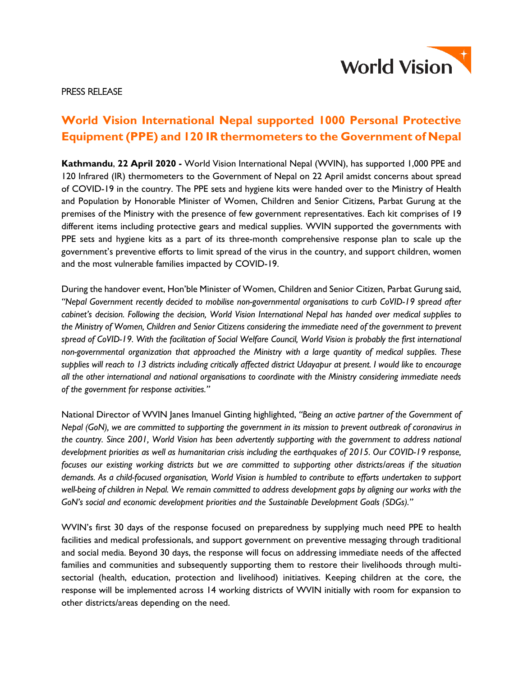

### PRESS RELEASE

# **World Vision International Nepal supported 1000 Personal Protective Equipment (PPE) and 120 IR thermometers to the Government of Nepal**

**Kathmandu**, **22 April 2020 -** World Vision International Nepal (WVIN), has supported 1,000 PPE and 120 Infrared (IR) thermometers to the Government of Nepal on 22 April amidst concerns about spread of COVID-19 in the country. The PPE sets and hygiene kits were handed over to the Ministry of Health and Population by Honorable Minister of Women, Children and Senior Citizens, Parbat Gurung at the premises of the Ministry with the presence of few government representatives. Each kit comprises of 19 different items including protective gears and medical supplies. WVIN supported the governments with PPE sets and hygiene kits as a part of its three-month comprehensive response plan to scale up the government's preventive efforts to limit spread of the virus in the country, and support children, women and the most vulnerable families impacted by COVID-19.

During the handover event, Hon'ble Minister of Women, Children and Senior Citizen, Parbat Gurung said, *"Nepal Government recently decided to mobilise non-governmental organisations to curb CoVID-19 spread after cabinet's decision. Following the decision, World Vision International Nepal has handed over medical supplies to the Ministry of Women, Children and Senior Citizens considering the immediate need of the government to prevent*  spread of CoVID-19. With the facilitation of Social Welfare Council, World Vision is probably the first international *non-governmental organization that approached the Ministry with a large quantity of medical supplies. These supplies will reach to 13 districts including critically affected district Udayapur at present. I would like to encourage all the other international and national organisations to coordinate with the Ministry considering immediate needs of the government for response activities."*

National Director of WVIN Janes Imanuel Ginting highlighted, *"Being an active partner of the Government of Nepal (GoN), we are committed to supporting the government in its mission to prevent outbreak of coronavirus in the country. Since 2001, World Vision has been advertently supporting with the government to address national development priorities as well as humanitarian crisis including the earthquakes of 2015. Our COVID-19 response, focuses our existing working districts but we are committed to supporting other districts/areas if the situation demands. As a child-focused organisation, World Vision is humbled to contribute to efforts undertaken to support well-being of children in Nepal. We remain committed to address development gaps by aligning our works with the GoN's social and economic development priorities and the Sustainable Development Goals (SDGs)."*

WVIN's first 30 days of the response focused on preparedness by supplying much need PPE to health facilities and medical professionals, and support government on preventive messaging through traditional and social media. Beyond 30 days, the response will focus on addressing immediate needs of the affected families and communities and subsequently supporting them to restore their livelihoods through multisectorial (health, education, protection and livelihood) initiatives. Keeping children at the core, the response will be implemented across 14 working districts of WVIN initially with room for expansion to other districts/areas depending on the need.